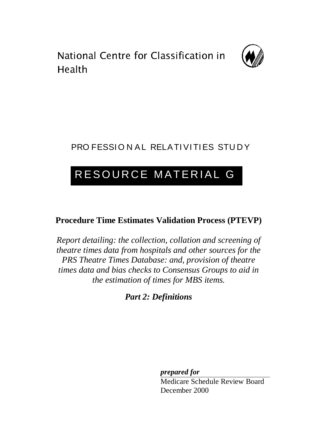. . . . . . . . .<br>Lle el th



## PRO FESSION AL RELATIVITIES STUDY

## RESOURCE MATERIAL G

## **Procedure Time Estimates Validation Process (PTEVP)**

*Report detailing: the collection, collation and screening of theatre times data from hospitals and other sources for the PRS Theatre Times Database: and, provision of theatre times data and bias checks to Consensus Groups to aid in the estimation of times for MBS items.*

*Part 2: Definitions*

*prepared for*

Medicare Schedule Review Board December 2000